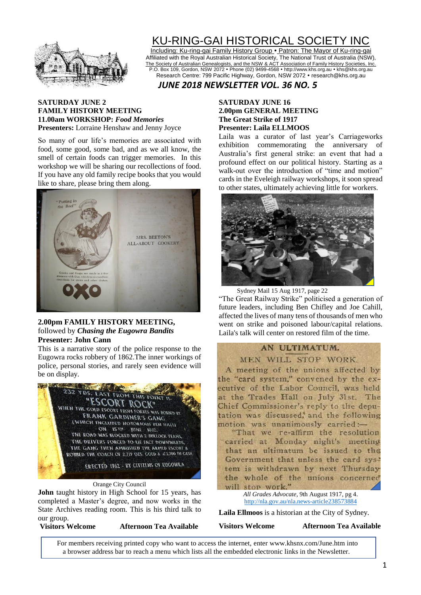

# KU-RING-GAI HISTORICAL SOCIETY INC

Including: Ku-ring-gai Family History Group . Patron: The Mayor of Ku-ring-gai Affiliated with the Royal Australian Historical Society, The National Trust of Australia (NSW), The Society of Australian Genealogists, and the NSW & ACT Association of Family History Societies, Inc. P.O. Box 109, Gordon, NSW 2072 Phone (02) 9499-4568 http://www.khs.org.au khs@khs.org.au Research Centre: 799 Pacific Highway, Gordon, NSW 2072 · research@khs.org.au

## *JUNE 2018 NEWSLETTER VOL. 36 NO. 5*

#### **SATURDAY JUNE 2 FAMILY HISTORY MEETING 11.00am WORKSHOP:** *Food Memories* **Presenters:** Lorraine Henshaw and Jenny Joyce

So many of our life's memories are associated with food, some good, some bad, and as we all know, the smell of certain foods can trigger memories. In this workshop we will be sharing our recollections of food. If you have any old family recipe books that you would like to share, please bring them along.



#### **2.00pm FAMILY HISTORY MEETING,**  followed by *Chasing the Eugowra Bandits* **Presenter: John Cann**

This is a narrative story of the police response to the Eugowra rocks robbery of 1862.The inner workings of police, personal stories, and rarely seen evidence will be on display.



Orange City Council

**John** taught history in High School for 15 years, has completed a Master's degree, and now works in the State Archives reading room. This is his third talk to our group.

**Visitors Welcome Afternoon Tea Available**

### **SATURDAY JUNE 16 2.00pm GENERAL MEETING The Great Strike of 1917 Presenter: Laila ELLMOOS**

Laila was a curator of last year's Carriageworks exhibition commemorating the anniversary of Australia's first general strike: an event that had a profound effect on our political history. Starting as a walk-out over the introduction of "time and motion" cards in the Eveleigh railway workshops, it soon spread to other states, ultimately achieving little for workers.



Sydney Mail 15 Aug 1917, page 22

"The Great Railway Strike" politicised a generation of future leaders, including Ben Chifley and Joe Cahill, affected the lives of many tens of thousands of men who went on strike and poisoned labour/capital relations. Laila's talk will center on restored film of the time.

## AN ULTIMATUM.

MEN WILL STOP WORK.

A meeting of the unions affected by the "card system." convened by the executive of the Labor Council, was held at the Trades Hall on July 31st. The Chief Commissioner's reply to the deputation was discussed, and the following motion was unanimously carried:-"That we re-affirm the resolution carried at Monday night's meeting that an ultimatum be issued to the Government that unless the card system is withdrawn by next Thursday

the whole of the unions concerned will stop work." *All Grades Advocate*, 9th August 1917, pg 4. <http://nla.gov.au/nla.news-article238573884>

**Laila Ellmoos** is a historian at the City of Sydney.

**Visitors Welcome Afternoon Tea Available**

For members receiving printed copy who want to access the internet, enter www.khsnx.com/June.htm into a browser address bar to reach a menu which lists all the embedded electronic links in the Newsletter.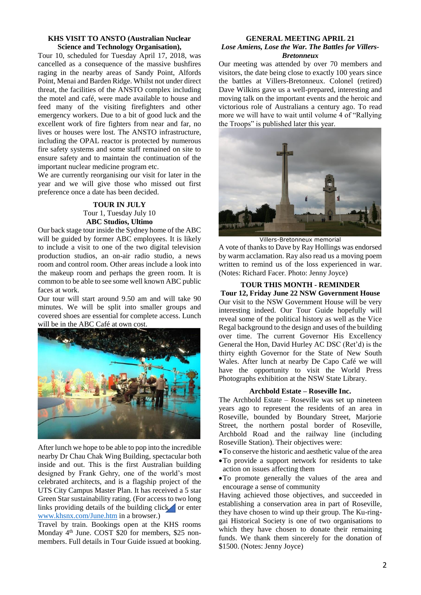#### **KHS VISIT TO ANSTO (Australian Nuclear Science and Technology Organisation),**

Tour 10, scheduled for Tuesday April 17, 2018, was cancelled as a consequence of the massive bushfires raging in the nearby areas of Sandy Point, Alfords Point, Menai and Barden Ridge. Whilst not under direct threat, the facilities of the ANSTO complex including the motel and café, were made available to house and feed many of the visiting firefighters and other emergency workers. Due to a bit of good luck and the excellent work of fire fighters from near and far, no lives or houses were lost. The ANSTO infrastructure, including the OPAL reactor is protected by numerous fire safety systems and some staff remained on site to ensure safety and to maintain the continuation of the important nuclear medicine program etc.

We are currently reorganising our visit for later in the year and we will give those who missed out first preference once a date has been decided.

#### **TOUR IN JULY** Tour 1, Tuesday July 10 **ABC Studios, Ultimo**

Our back stage tour inside the Sydney home of the ABC will be guided by former ABC employees. It is likely to include a visit to one of the two digital television production studios, an on-air radio studio, a news room and control room. Other areas include a look into the makeup room and perhaps the green room. It is common to be able to see some well known ABC public faces at work.

Our tour will start around 9.50 am and will take 90 minutes. We will be split into smaller groups and covered shoes are essential for complete access. Lunch will be in the ABC Café at own cost.



After lunch we hope to be able to pop into the incredible nearby Dr Chau Chak Wing Building, spectacular both inside and out. This is the first Australian building designed by Frank Gehry, one of the world's most celebrated architects, and is a flagship project of the UTS City Campus Master Plan. It has received a 5 star Green Star sustainability rating. (For access to two long links providing details of the building clic[k](http://www.khsnx.com/June.htm) or enter [www.khsnx.com/June.htm](http://www.khsnx.com/June.htm) in a browser.)

Travel by train. Bookings open at the KHS rooms Monday 4th June. COST \$20 for members, \$25 nonmembers. Full details in Tour Guide issued at booking.

#### **GENERAL MEETING APRIL 21** *Lose Amiens, Lose the War. The Battles for Villers-Bretonneux*

Our meeting was attended by over 70 members and visitors, the date being close to exactly 100 years since the battles at Villers-Bretonneux. Colonel (retired) Dave Wilkins gave us a well-prepared, interesting and moving talk on the important events and the heroic and victorious role of Australians a century ago. To read more we will have to wait until volume 4 of "Rallying the Troops" is published later this year.



Villers-Bretonneux memorial

A vote of thanks to Dave by Ray Hollings was endorsed by warm acclamation. Ray also read us a moving poem written to remind us of the loss experienced in war. (Notes: Richard Facer. Photo: Jenny Joyce)

#### **TOUR THIS MONTH - REMINDER**

**Tour 12, Friday June 22 NSW Government House** Our visit to the NSW Government House will be very interesting indeed. Our Tour Guide hopefully will reveal some of the political history as well as the Vice Regal background to the design and uses of the building over time. The current Governor His Excellency General the Hon, David Hurley AC DSC (Ret'd) is the thirty eighth Governor for the State of New South Wales. After lunch at nearby De Capo Café we will have the opportunity to visit the World Press Photographs exhibition at the NSW State Library.

#### **Archbold Estate – Roseville Inc.**

The Archbold Estate – Roseville was set up nineteen years ago to represent the residents of an area in Roseville, bounded by Boundary Street, Marjorie Street, the northern postal border of Roseville, Archbold Road and the railway line (including Roseville Station). Their objectives were:

- •To conserve the historic and aesthetic value of the area
- •To provide a support network for residents to take action on issues affecting them
- •To promote generally the values of the area and encourage a sense of community

Having achieved those objectives, and succeeded in establishing a conservation area in part of Roseville, they have chosen to wind up their group. The Ku-ringgai Historical Society is one of two organisations to which they have chosen to donate their remaining funds. We thank them sincerely for the donation of \$1500. (Notes: Jenny Joyce)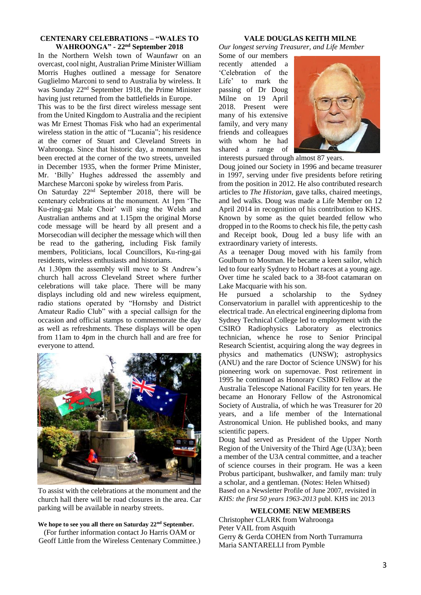#### **CENTENARY CELEBRATIONS – "WALES TO WAHROONGA" - 22nd September 2018**

In the Northern Welsh town of Waunfawr on an overcast, cool night, Australian Prime Minister William Morris Hughes outlined a message for Senatore Guglielmo Marconi to send to Australia by wireless. It was Sunday 22nd September 1918, the Prime Minister having just returned from the battlefields in Europe.

This was to be the first direct wireless message sent from the United Kingdom to Australia and the recipient was Mr Ernest Thomas Fisk who had an experimental wireless station in the attic of "Lucania"; his residence at the corner of Stuart and Cleveland Streets in Wahroonga. Since that historic day, a monument has been erected at the corner of the two streets, unveiled in December 1935, when the former Prime Minister, Mr. 'Billy' Hughes addressed the assembly and Marchese Marconi spoke by wireless from Paris.

On Saturday 22nd September 2018, there will be centenary celebrations at the monument. At 1pm 'The Ku-ring-gai Male Choir' will sing the Welsh and Australian anthems and at 1.15pm the original Morse code message will be heard by all present and a Morsecodian will decipher the message which will then be read to the gathering, including Fisk family members, Politicians, local Councillors, Ku-ring-gai residents, wireless enthusiasts and historians.

At 1.30pm the assembly will move to St Andrew's church hall across Cleveland Street where further celebrations will take place. There will be many displays including old and new wireless equipment, radio stations operated by "Hornsby and District Amateur Radio Club" with a special callsign for the occasion and official stamps to commemorate the day as well as refreshments. These displays will be open from 11am to 4pm in the church hall and are free for everyone to attend.



To assist with the celebrations at the monument and the church hall there will be road closures in the area. Car parking will be available in nearby streets.

#### **We hope to see you all there on Saturday 22nd September.** (For further information contact Jo Harris OAM or

Geoff Little from the Wireless Centenary Committee.)

#### **VALE DOUGLAS KEITH MILNE**

*Our longest serving Treasurer, and Life Member*

Some of our members recently attended a 'Celebration of the Life' to mark the passing of Dr Doug Milne on 19 April 2018. Present were many of his extensive family, and very many friends and colleagues with whom he had shared a range of



interests pursued through almost 87 years.

Doug joined our Society in 1996 and became treasurer in 1997, serving under five presidents before retiring from the position in 2012. He also contributed research articles to *The Historian*, gave talks, chaired meetings, and led walks. Doug was made a Life Member on 12 April 2014 in recognition of his contribution to KHS. Known by some as the quiet bearded fellow who dropped in to the Rooms to check his file, the petty cash and Receipt book, Doug led a busy life with an extraordinary variety of interests.

As a teenager Doug moved with his family from Goulburn to Mosman. He became a keen sailor, which led to four early Sydney to Hobart races at a young age. Over time he scaled back to a 38-foot catamaran on Lake Macquarie with his son.

He pursued a scholarship to the Sydney Conservatorium in parallel with apprenticeship to the electrical trade. An electrical engineering diploma from Sydney Technical College led to employment with the CSIRO Radiophysics Laboratory as electronics technician, whence he rose to Senior Principal Research Scientist, acquiring along the way degrees in physics and mathematics (UNSW); astrophysics (ANU) and the rare Doctor of Science UNSW) for his pioneering work on supernovae. Post retirement in 1995 he continued as Honorary CSIRO Fellow at the Australia Telescope National Facility for ten years. He became an Honorary Fellow of the Astronomical Society of Australia, of which he was Treasurer for 20 years, and a life member of the International Astronomical Union. He published books, and many scientific papers.

Doug had served as President of the Upper North Region of the University of the Third Age (U3A); been a member of the U3A central committee, and a teacher of science courses in their program. He was a keen Probus participant, bushwalker, and family man: truly a scholar, and a gentleman. (Notes: Helen Whitsed) Based on a Newsletter Profile of June 2007, revisited in *KHS: the first 50 years 1963-2013* publ. KHS inc 2013

#### **WELCOME NEW MEMBERS**

Christopher CLARK from Wahroonga Peter VAIL from Asquith Gerry & Gerda COHEN from North Turramurra Maria SANTARELLI from Pymble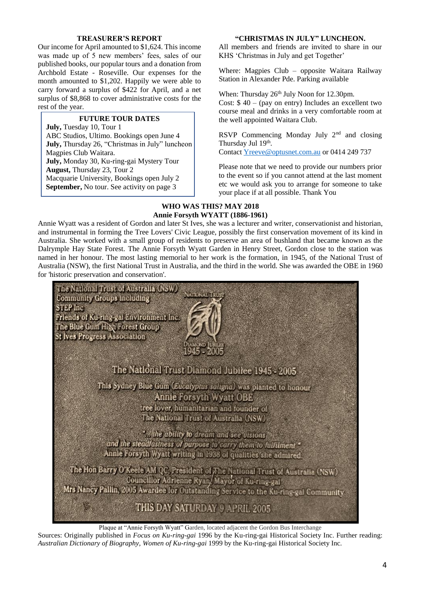#### **TREASURER'S REPORT**

Our income for April amounted to \$1,624. This income was made up of 5 new members' fees, sales of our published books, our popular tours and a donation from Archbold Estate - Roseville. Our expenses for the month amounted to \$1,202. Happily we were able to carry forward a surplus of \$422 for April, and a net surplus of \$8,868 to cover administrative costs for the rest of the year.

### **FUTURE TOUR DATES**

**July,** Tuesday 10, Tour 1 ABC Studios, Ultimo. Bookings open June 4 **July,** Thursday 26, "Christmas in July" luncheon Magpies Club Waitara. **July,** Monday 30, Ku-ring-gai Mystery Tour **August,** Thursday 23, Tour 2 Macquarie University, Bookings open July 2 **September,** No tour. See activity on page 3

#### **"CHRISTMAS IN JULY" LUNCHEON.**

All members and friends are invited to share in our KHS 'Christmas in July and get Together'

Where: Magpies Club – opposite Waitara Railway Station in Alexander Pde. Parking available

When: Thursday 26<sup>th</sup> July Noon for 12.30pm.

Cost:  $$ 40 - (pay on entry)$  Includes an excellent two course meal and drinks in a very comfortable room at the well appointed Waitara Club.

RSVP Commencing Monday July 2<sup>nd</sup> and closing Thursday Jul 19th.

Contac[t Yreeve@optusnet.com.au](mailto:Yreeve@optusnet.com.au) or 0414 249 737

Please note that we need to provide our numbers prior to the event so if you cannot attend at the last moment etc we would ask you to arrange for someone to take your place if at all possible. Thank You

#### **WHO WAS THIS? MAY 2018 Annie Forsyth WYATT (1886-1961)**

Annie Wyatt was a resident of Gordon and later St Ives, she was a lecturer and writer, conservationist and historian, and instrumental in forming the Tree Lovers' Civic League, possibly the first conservation movement of its kind in Australia. She worked with a small group of residents to preserve an area of bushland that became known as the Dalrymple Hay State Forest. The Annie Forsyth Wyatt Garden in Henry Street, Gordon close to the station was named in her honour. The most lasting memorial to her work is the formation, in 1945, of the National Trust of Australia (NSW), the first National Trust in Australia, and the third in the world. She was awarded the OBE in 1960 for 'historic preservation and conservation'.



Plaque at "Annie Forsyth Wyatt" Garden, located adjacent the Gordon Bus Interchange

Sources: Originally published in *Focus on Ku-ring-gai* 1996 by the Ku-ring-gai Historical Society Inc. Further reading: *Australian Dictionary of Biography, Women of Ku-ring-gai* 1999 by the Ku-ring-gai Historical Society Inc.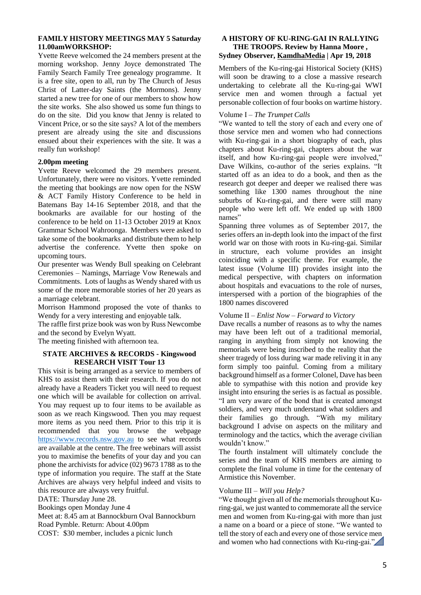#### **FAMILY HISTORY MEETINGS MAY 5 Saturday 11.00amWORKSHOP:**

Yvette Reeve welcomed the 24 members present at the morning workshop. Jenny Joyce demonstrated The Family Search Family Tree genealogy programme. It is a free site, open to all, run by The Church of Jesus Christ of Latter-day Saints (the Mormons). Jenny started a new tree for one of our members to show how the site works. She also showed us some fun things to do on the site. Did you know that Jenny is related to Vincent Price, or so the site says? A lot of the members present are already using the site and discussions ensued about their experiences with the site. It was a really fun workshop!

#### **2.00pm meeting**

Yvette Reeve welcomed the 29 members present. Unfortunately, there were no visitors. Yvette reminded the meeting that bookings are now open for the NSW & ACT Family History Conference to be held in Batemans Bay 14-16 September 2018, and that the bookmarks are available for our hosting of the conference to be held on 11-13 October 2019 at Knox Grammar School Wahroonga. Members were asked to take some of the bookmarks and distribute them to help advertise the conference. Yvette then spoke on upcoming tours.

Our presenter was Wendy Bull speaking on Celebrant Ceremonies – Namings, Marriage Vow Renewals and Commitments. Lots of laughs as Wendy shared with us some of the more memorable stories of her 20 years as a marriage celebrant.

Morrison Hammond proposed the vote of thanks to Wendy for a very interesting and enjoyable talk.

The raffle first prize book was won by Russ Newcombe and the second by Evelyn Wyatt.

The meeting finished with afternoon tea.

#### **STATE ARCHIVES & RECORDS - Kingswood RESEARCH VISIT Tour 13**

This visit is being arranged as a service to members of KHS to assist them with their research. If you do not already have a Readers Ticket you will need to request one which will be available for collection on arrival. You may request up to four items to be available as soon as we reach Kingswood. Then you may request more items as you need them. Prior to this trip it is recommended that you browse the webpage [https://www.records.nsw.gov.au](https://www.records.nsw.gov.au/) to see what records are available at the centre. The free webinars will assist you to maximise the benefits of your day and you can phone the archivists for advice (02) 9673 1788 as to the type of information you require. The staff at the State Archives are always very helpful indeed and visits to this resource are always very fruitful.

DATE: Thursday June 28.

Bookings open Monday June 4

Meet at: 8.45 am at Bannockburn Oval Bannockburn

Road Pymble. Return: About 4.00pm

COST: \$30 member, includes a picnic lunch

#### **A HISTORY OF KU-RING-GAI IN RALLYING THE TROOPS. Review by Hanna Moore , Sydney Observer, [KamdhaMedia](https://www.sydneyobserver.com/author/jenna/) | Apr 19, 2018**

Members of the Ku-ring-gai Historical Society (KHS) will soon be drawing to a close a massive research undertaking to celebrate all the Ku-ring-gai WWI service men and women through a factual yet personable collection of four books on wartime history.

#### Volume I – *The Trumpet Calls*

"We wanted to tell the story of each and every one of those service men and women who had connections with Ku-ring-gai in a short biography of each, plus chapters about Ku-ring-gai, chapters about the war itself, and how Ku-ring-gai people were involved," Dave Wilkins, co-author of the series explains. "It started off as an idea to do a book, and then as the research got deeper and deeper we realised there was something like 1300 names throughout the nine suburbs of Ku-ring-gai, and there were still many people who were left off. We ended up with 1800 names"

Spanning three volumes as of September 2017, the series offers an in-depth look into the impact of the first world war on those with roots in Ku-ring-gai. Similar in structure, each volume provides an insight coinciding with a specific theme. For example, the latest issue (Volume III) provides insight into the medical perspective, with chapters on information about hospitals and evacuations to the role of nurses, interspersed with a portion of the biographies of the 1800 names discovered

#### Volume II – *Enlist Now – Forward to Victory*

Dave recalls a number of reasons as to why the names may have been left out of a traditional memorial, ranging in anything from simply not knowing the memorials were being inscribed to the reality that the sheer tragedy of loss during war made reliving it in any form simply too painful. Coming from a military background himself as a former Colonel, Dave has been able to sympathise with this notion and provide key insight into ensuring the series is as factual as possible. "I am very aware of the bond that is created amongst soldiers, and very much understand what soldiers and their families go through. "With my military background I advise on aspects on the military and terminology and the tactics, which the average civilian wouldn't know."

The fourth instalment will ultimately conclude the series and the team of KHS members are aiming to complete the final volume in time for the centenary of Armistice this November.

#### Volume III – *Will you Help?*

"We thought given all of the memorials throughout Kuring-gai, we just wanted to commemorate all the service men and women from Ku-ring-gai with more than just a name on a board or a piece of stone. "We wanted to tell the story of each and every one of those service [men](http://www.khsnx.com/June-RTTReview.htm)  and women who had connections with Ku-ring-gai."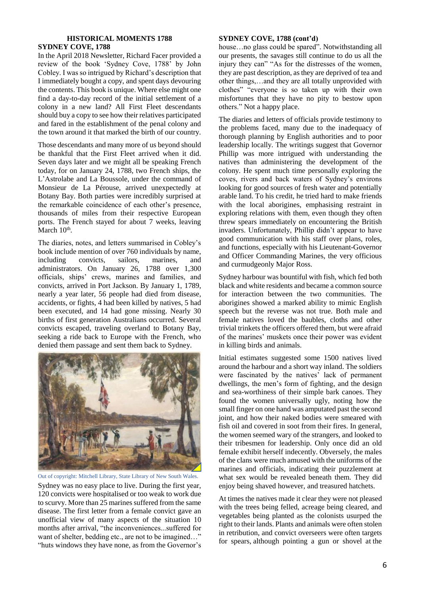#### **HISTORICAL MOMENTS 1788 SYDNEY COVE, 1788**

In the April 2018 Newsletter, Richard Facer provided a review of the book 'Sydney Cove, 1788' by John Cobley. I was so intrigued by Richard's description that I immediately bought a copy, and spent days devouring the contents. This book is unique. Where else might one find a day-to-day record of the initial settlement of a colony in a new land? All First Fleet descendants should buy a copy to see how their relatives participated and fared in the establishment of the penal colony and the town around it that marked the birth of our country.

Those descendants and many more of us beyond should be thankful that the First Fleet arrived when it did. Seven days later and we might all be speaking French today, for on January 24, 1788, two French ships, the L'Astrolabe and La Boussole, under the command of Monsieur de La Pérouse, arrived unexpectedly at Botany Bay. Both parties were incredibly surprised at the remarkable coincidence of each other's presence, thousands of miles from their respective European ports. The French stayed for about 7 weeks, leaving March 10<sup>th</sup>.

The diaries, notes, and letters summarised in Cobley's book include mention of over 760 individuals by name, including convicts, sailors, marines, and administrators. On January 26, 1788 over 1,300 officials, ships' crews, marines and families, and convicts, arrived in Port Jackson. By January 1, 1789, nearly a year later, 56 people had died from disease, accidents, or fights, 4 had been killed by natives, 5 had been executed, and 14 had gone missing. Nearly 30 births of first generation Australians occurred. Several convicts escaped, traveling overland to Botany Bay, seeking a ride back to Europe with the French, who denied them passage and sent them back to Sydney.



Out of copyright: Mitchell Library, State Library of New South Wales.

Sydney was no easy place to live. During the first year, 120 convicts were hospitalised or too weak to work due to scurvy. More than 25 marines suffered from the same disease. The first letter from a female convict gave an unofficial view of many aspects of the situation 10 months after arrival, "the inconveniences...suffered for want of shelter, bedding etc., are not to be imagined…" "huts windows they have none, as from the Governor's

#### **SYDNEY COVE, 1788 (cont'd)**

house…no glass could be spared". Notwithstanding all our presents, the savages still continue to do us all the injury they can" "As for the distresses of the women, they are past description, as they are deprived of tea and other things,…and they are all totally unprovided with clothes" "everyone is so taken up with their own misfortunes that they have no pity to bestow upon others." Not a happy place.

The diaries and letters of officials provide testimony to the problems faced, many due to the inadequacy of thorough planning by English authorities and to poor leadership locally. The writings suggest that Governor Phillip was more intrigued with understanding the natives than administering the development of the colony. He spent much time personally exploring the coves, rivers and back waters of Sydney's environs looking for good sources of fresh water and potentially arable land. To his credit, he tried hard to make friends with the local aborigines, emphasising restraint in exploring relations with them, even though they often threw spears immediately on encountering the British invaders. Unfortunately, Phillip didn't appear to have good communication with his staff over plans, roles, and functions, especially with his Lieutenant-Governor and Officer Commanding Marines, the very officious and curmudgeonly Major Ross.

Sydney harbour was bountiful with fish, which fed both black and white residents and became a common source for interaction between the two communities. The aborigines showed a marked ability to mimic English speech but the reverse was not true. Both male and female natives loved the baubles, cloths and other trivial trinkets the officers offered them, but were afraid of the marines' muskets once their power was evident in killing birds and animals.

Initial estimates suggested some 1500 natives lived around the harbour and a short way inland. The soldiers were fascinated by the natives' lack of permanent dwellings, the men's form of fighting, and the design and sea-worthiness of their simple bark canoes. They found the women universally ugly, noting how the small finger on one hand was amputated past the second joint, and how their naked bodies were smeared with fish oil and covered in soot from their fires. In general, the women seemed wary of the strangers, and looked to their tribesmen for leadership. Only once did an old female exhibit herself indecently. Obversely, the males of the clans were much amused with the uniforms of the marines and officials, indicating their puzzlement at what sex would be revealed beneath them. They did enjoy being shaved however, and treasured hatchets.

At times the natives made it clear they were not pleased with the trees being felled, acreage being cleared, and vegetables being planted as the colonists usurped the right to their lands. Plants and animals were often stolen in retribution, and convict overseers were often targets for spears, although pointing a gun or shovel at the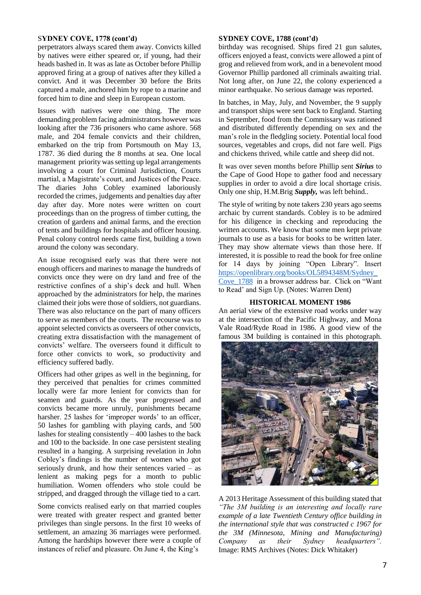#### S**YDNEY COVE, 1778 (cont'd)**

perpetrators always scared them away. Convicts killed by natives were either speared or, if young, had their heads bashed in. It was as late as October before Phillip approved firing at a group of natives after they killed a convict. And it was December 30 before the Brits captured a male, anchored him by rope to a marine and forced him to dine and sleep in European custom.

Issues with natives were one thing. The more demanding problem facing administrators however was looking after the 736 prisoners who came ashore. 568 male, and 204 female convicts and their children, embarked on the trip from Portsmouth on May 13, 1787. 36 died during the 8 months at sea. One local management priority was setting up legal arrangements involving a court for Criminal Jurisdiction, Courts martial, a Magistrate's court, and Justices of the Peace. The diaries John Cobley examined laboriously recorded the crimes, judgements and penalties day after day after day. More notes were written on court proceedings than on the progress of timber cutting, the creation of gardens and animal farms, and the erection of tents and buildings for hospitals and officer housing. Penal colony control needs came first, building a town around the colony was secondary.

An issue recognised early was that there were not enough officers and marines to manage the hundreds of convicts once they were on dry land and free of the restrictive confines of a ship's deck and hull. When approached by the administrators for help, the marines claimed their jobs were those of soldiers, not guardians. There was also reluctance on the part of many officers to serve as members of the courts. The recourse was to appoint selected convicts as overseers of other convicts, creating extra dissatisfaction with the management of convicts' welfare. The overseers found it difficult to force other convicts to work, so productivity and efficiency suffered badly.

Officers had other gripes as well in the beginning, for they perceived that penalties for crimes committed locally were far more lenient for convicts than for seamen and guards. As the year progressed and convicts became more unruly, punishments became harsher. 25 lashes for 'improper words' to an officer, 50 lashes for gambling with playing cards, and 500 lashes for stealing consistently  $-400$  lashes to the back and 100 to the backside. In one case persistent stealing resulted in a hanging. A surprising revelation in John Cobley's findings is the number of women who got seriously drunk, and how their sentences varied – as lenient as making pegs for a month to public humiliation. Women offenders who stole could be stripped, and dragged through the village tied to a cart.

Some convicts realised early on that married couples were treated with greater respect and granted better privileges than single persons. In the first 10 weeks of settlement, an amazing 36 marriages were performed. Among the hardships however there were a couple of instances of relief and pleasure. On June 4, the King's

#### **SYDNEY COVE, 1788 (cont'd)**

birthday was recognised. Ships fired 21 gun salutes, officers enjoyed a feast, convicts were allowed a pint of grog and relieved from work, and in a benevolent mood Governor Phillip pardoned all criminals awaiting trial. Not long after, on June 22, the colony experienced a minor earthquake. No serious damage was reported.

In batches, in May, July, and November, the 9 supply and transport ships were sent back to England. Starting in September, food from the Commissary was rationed and distributed differently depending on sex and the man's role in the fledgling society. Potential local food sources, vegetables and crops, did not fare well. Pigs and chickens thrived, while cattle and sheep did not.

It was over seven months before Phillip sent *Sirius* to the Cape of Good Hope to gather food and necessary supplies in order to avoid a dire local shortage crisis. Only one ship, H.M.Brig *Supply,* was left behind..

The style of writing by note takers 230 years ago seems archaic by current standards. Cobley is to be admired for his diligence in checking and reproducing the written accounts. We know that some men kept private journals to use as a basis for books to be written later. They may show alternate views than those here. If interested, it is possible to read the book for free online for 14 days by joining "Open Library". Insert [https://openlibrary.org/books/OL5894348M/Sydney\\_](https://openlibrary.org/books/OL5894348M/Sydney_Cove_1788) [Cove\\_1788](https://openlibrary.org/books/OL5894348M/Sydney_Cove_1788) in a browser address bar. Click on "Want to Read' and Sign Up. (Notes: Warren Dent)

#### **HISTORICAL MOMENT 1986**

An aerial view of the extensive road works under way at the intersection of the Pacific Highway, and Mona Vale Road/Ryde Road in 1986. A good view of the famous 3M building is contained in this photograph.



A 2013 Heritage Assessment of this building stated that *"The 3M building is an interesting and locally rare example of a late Twentieth Century office building in the international style that was constructed c 1967 for the 3M (Minnesota, Mining and Manufacturing) Company as their Sydney headquarters".* Image: RMS Archives (Notes: Dick Whitaker)